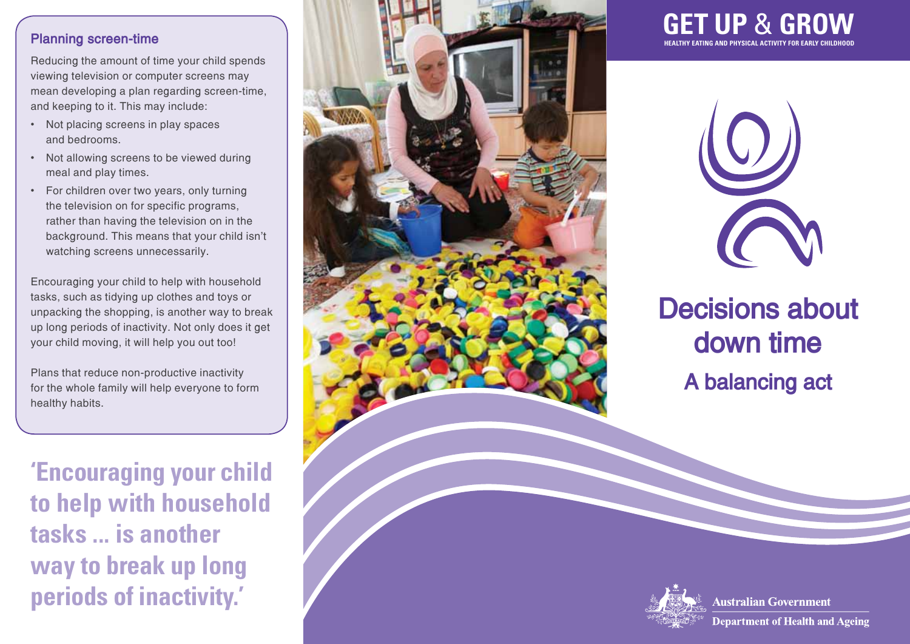

Reducing the amount of time your child spends viewing television or computer screens may mean developing a plan regarding screen-time, and keeping to it. This may include:

- • Not placing screens in play spaces and bedrooms.
- • Not allowing screens to be viewed during meal and play times.
- • For children over two years, only turning the television on for specific programs, rather than having the television on in the background. This means that your child isn't watching screens unnecessarily.

Encouraging your child to help with household tasks, such as tidying up clothes and toys or unpacking the shopping, is another way to break up long periods of inactivity. Not only does it get your child moving, it will help you out too!

Plans that reduce non-productive inactivity for the whole family will help everyone to form healthy habits.

**'Encouraging your child to help with household tasks ... is another way to break up long periods of inactivity.'**







## **Decisions about down time A balancing act**